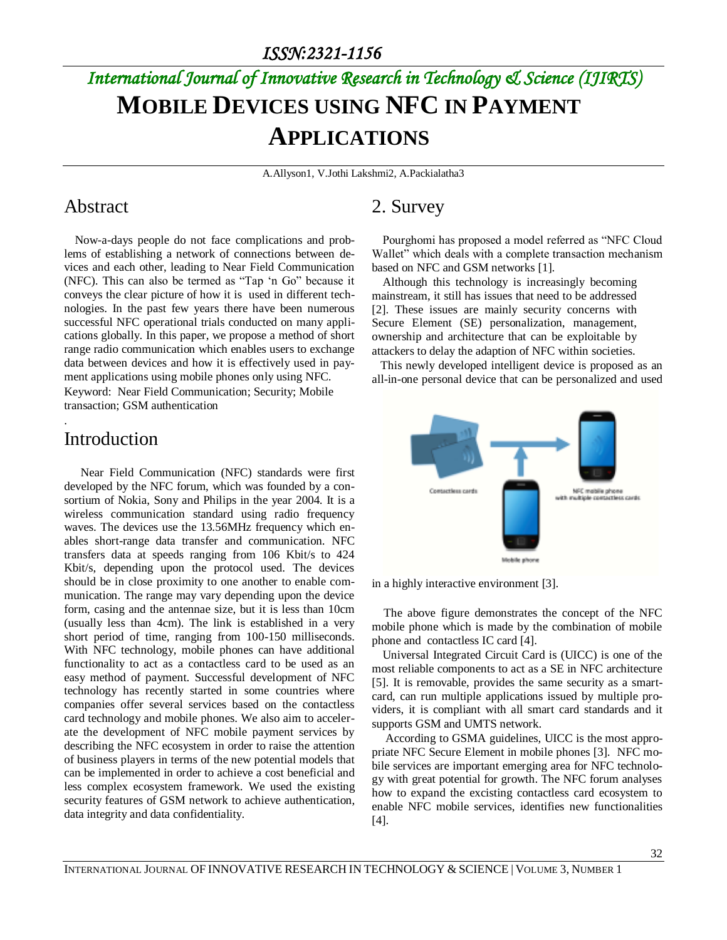# *International Journal of Innovative Research in Technology & Science (IJIRTS)* **MOBILE DEVICES USING NFC IN PAYMENT APPLICATIONS**

A.Allyson1, V.Jothi Lakshmi2, A.Packialatha3

### Abstract

Now-a-days people do not face complications and problems of establishing a network of connections between devices and each other, leading to Near Field Communication (NFC). This can also be termed as "Tap 'n Go" because it conveys the clear picture of how it is used in different technologies. In the past few years there have been numerous successful NFC operational trials conducted on many applications globally. In this paper, we propose a method of short range radio communication which enables users to exchange data between devices and how it is effectively used in payment applications using mobile phones only using NFC. Keyword: Near Field Communication; Security; Mobile transaction; GSM authentication

# Introduction

.

 Near Field Communication (NFC) standards were first developed by the NFC forum, which was founded by a consortium of Nokia, Sony and Philips in the year 2004. It is a wireless communication standard using radio frequency waves. The devices use the 13.56MHz frequency which enables short-range data transfer and communication. NFC transfers data at speeds ranging from 106 Kbit/s to 424 Kbit/s, depending upon the protocol used. The devices should be in close proximity to one another to enable communication. The range may vary depending upon the device form, casing and the antennae size, but it is less than 10cm (usually less than 4cm). The link is established in a very short period of time, ranging from 100-150 milliseconds. With NFC technology, mobile phones can have additional functionality to act as a contactless card to be used as an easy method of payment. Successful development of NFC technology has recently started in some countries where companies offer several services based on the contactless card technology and mobile phones. We also aim to accelerate the development of NFC mobile payment services by describing the NFC ecosystem in order to raise the attention of business players in terms of the new potential models that can be implemented in order to achieve a cost beneficial and less complex ecosystem framework. We used the existing security features of GSM network to achieve authentication, data integrity and data confidentiality.

# 2. Survey

Pourghomi has proposed a model referred as "NFC Cloud Wallet" which deals with a complete transaction mechanism based on NFC and GSM networks [1].

Although this technology is increasingly becoming mainstream, it still has issues that need to be addressed [2]. These issues are mainly security concerns with Secure Element (SE) personalization, management, ownership and architecture that can be exploitable by attackers to delay the adaption of NFC within societies.

 This newly developed intelligent device is proposed as an all-in-one personal device that can be personalized and used



in a highly interactive environment [3].

 The above figure demonstrates the concept of the NFC mobile phone which is made by the combination of mobile phone and contactless IC card [4].

Universal Integrated Circuit Card is (UICC) is one of the most reliable components to act as a SE in NFC architecture [5]. It is removable, provides the same security as a smartcard, can run multiple applications issued by multiple providers, it is compliant with all smart card standards and it supports GSM and UMTS network.

According to GSMA guidelines, UICC is the most appropriate NFC Secure Element in mobile phones [3]. NFC mobile services are important emerging area for NFC technology with great potential for growth. The NFC forum analyses how to expand the excisting contactless card ecosystem to enable NFC mobile services, identifies new functionalities [4].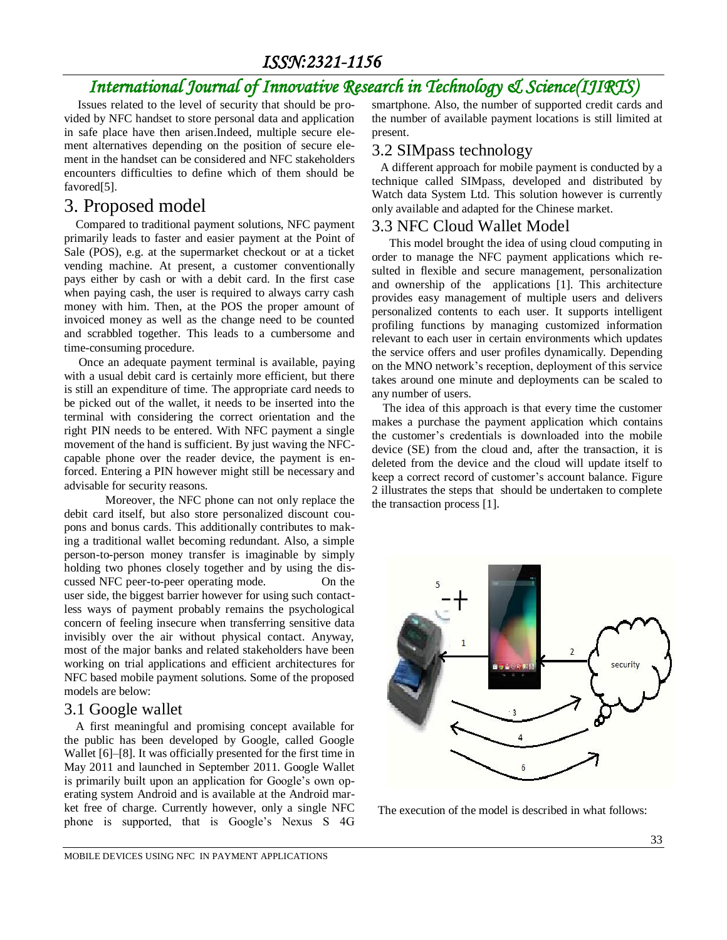# *ISSN:2321-1156*

# *International Journal of Innovative Research in Technology & Science(IJIRTS)*

Issues related to the level of security that should be provided by NFC handset to store personal data and application in safe place have then arisen.Indeed, multiple secure element alternatives depending on the position of secure element in the handset can be considered and NFC stakeholders encounters difficulties to define which of them should be favored[5].

### 3. Proposed model

 Compared to traditional payment solutions, NFC payment primarily leads to faster and easier payment at the Point of Sale (POS), e.g. at the supermarket checkout or at a ticket vending machine. At present, a customer conventionally pays either by cash or with a debit card. In the first case when paying cash, the user is required to always carry cash money with him. Then, at the POS the proper amount of invoiced money as well as the change need to be counted and scrabbled together. This leads to a cumbersome and time-consuming procedure.

 Once an adequate payment terminal is available, paying with a usual debit card is certainly more efficient, but there is still an expenditure of time. The appropriate card needs to be picked out of the wallet, it needs to be inserted into the terminal with considering the correct orientation and the right PIN needs to be entered. With NFC payment a single movement of the hand is sufficient. By just waving the NFCcapable phone over the reader device, the payment is enforced. Entering a PIN however might still be necessary and advisable for security reasons.

 Moreover, the NFC phone can not only replace the debit card itself, but also store personalized discount coupons and bonus cards. This additionally contributes to making a traditional wallet becoming redundant. Also, a simple person-to-person money transfer is imaginable by simply holding two phones closely together and by using the discussed NFC peer-to-peer operating mode. On the user side, the biggest barrier however for using such contactless ways of payment probably remains the psychological concern of feeling insecure when transferring sensitive data invisibly over the air without physical contact. Anyway, most of the major banks and related stakeholders have been working on trial applications and efficient architectures for NFC based mobile payment solutions. Some of the proposed models are below:

### 3.1 Google wallet

 A first meaningful and promising concept available for the public has been developed by Google, called Google Wallet [6]–[8]. It was officially presented for the first time in May 2011 and launched in September 2011. Google Wallet is primarily built upon an application for Google's own operating system Android and is available at the Android market free of charge. Currently however, only a single NFC phone is supported, that is Google's Nexus S 4G smartphone. Also, the number of supported credit cards and the number of available payment locations is still limited at present.

### 3.2 SIMpass technology

 A different approach for mobile payment is conducted by a technique called SIMpass, developed and distributed by Watch data System Ltd. This solution however is currently only available and adapted for the Chinese market.

#### 3.3 NFC Cloud Wallet Model

 This model brought the idea of using cloud computing in order to manage the NFC payment applications which resulted in flexible and secure management, personalization and ownership of the applications [1]. This architecture provides easy management of multiple users and delivers personalized contents to each user. It supports intelligent profiling functions by managing customized information relevant to each user in certain environments which updates the service offers and user profiles dynamically. Depending on the MNO network's reception, deployment of this service takes around one minute and deployments can be scaled to any number of users.

The idea of this approach is that every time the customer makes a purchase the payment application which contains the customer's credentials is downloaded into the mobile device (SE) from the cloud and, after the transaction, it is deleted from the device and the cloud will update itself to keep a correct record of customer's account balance. Figure 2 illustrates the steps that should be undertaken to complete the transaction process [1].



The execution of the model is described in what follows: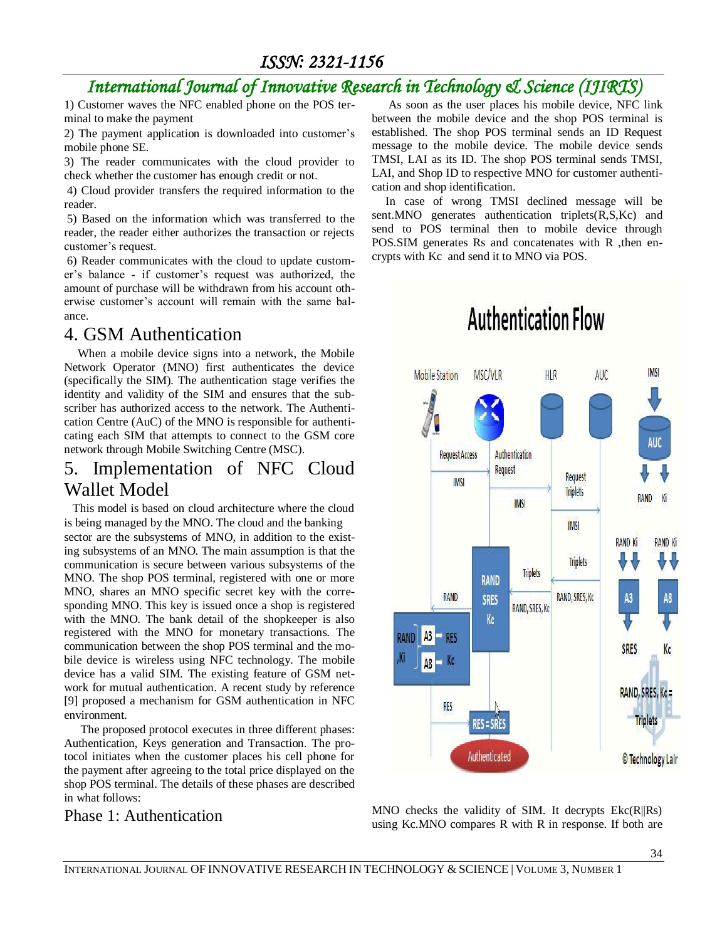*ISSN: 2321-1156* 

# *International Journal of Innovative Research in Technology & Science (IJIRTS)*

1) Customer waves the NFC enabled phone on the POS terminal to make the payment

2) The payment application is downloaded into customer's mobile phone SE.

3) The reader communicates with the cloud provider to check whether the customer has enough credit or not.

4) Cloud provider transfers the required information to the reader.

5) Based on the information which was transferred to the reader, the reader either authorizes the transaction or rejects customer's request.

6) Reader communicates with the cloud to update customer's balance - if customer's request was authorized, the amount of purchase will be withdrawn from his account otherwise customer's account will remain with the same balance.

# 4. GSM Authentication

When a mobile device signs into a network, the Mobile Network Operator (MNO) first authenticates the device (specifically the SIM). The authentication stage verifies the identity and validity of the SIM and ensures that the subscriber has authorized access to the network. The Authentication Centre (AuC) of the MNO is responsible for authenticating each SIM that attempts to connect to the GSM core network through Mobile Switching Centre (MSC).

# 5. Implementation of NFC Cloud Wallet Model

 This model is based on cloud architecture where the cloud is being managed by the MNO. The cloud and the banking sector are the subsystems of MNO, in addition to the existing subsystems of an MNO. The main assumption is that the communication is secure between various subsystems of the MNO. The shop POS terminal, registered with one or more MNO, shares an MNO specific secret key with the corresponding MNO. This key is issued once a shop is registered with the MNO. The bank detail of the shopkeeper is also registered with the MNO for monetary transactions. The communication between the shop POS terminal and the mobile device is wireless using NFC technology. The mobile device has a valid SIM. The existing feature of GSM network for mutual authentication. A recent study by reference [9] proposed a mechanism for GSM authentication in NFC environment.

 The proposed protocol executes in three different phases: Authentication, Keys generation and Transaction. The protocol initiates when the customer places his cell phone for the payment after agreeing to the total price displayed on the shop POS terminal. The details of these phases are described in what follows:

Phase 1: Authentication

 As soon as the user places his mobile device, NFC link between the mobile device and the shop POS terminal is established. The shop POS terminal sends an ID Request message to the mobile device. The mobile device sends TMSI, LAI as its ID. The shop POS terminal sends TMSI, LAI, and Shop ID to respective MNO for customer authentication and shop identification.

In case of wrong TMSI declined message will be sent.MNO generates authentication triplets(R,S,Kc) and send to POS terminal then to mobile device through POS.SIM generates Rs and concatenates with R ,then encrypts with Kc and send it to MNO via POS.



MNO checks the validity of SIM. It decrypts Ekc(R||Rs) using Kc.MNO compares R with R in response. If both are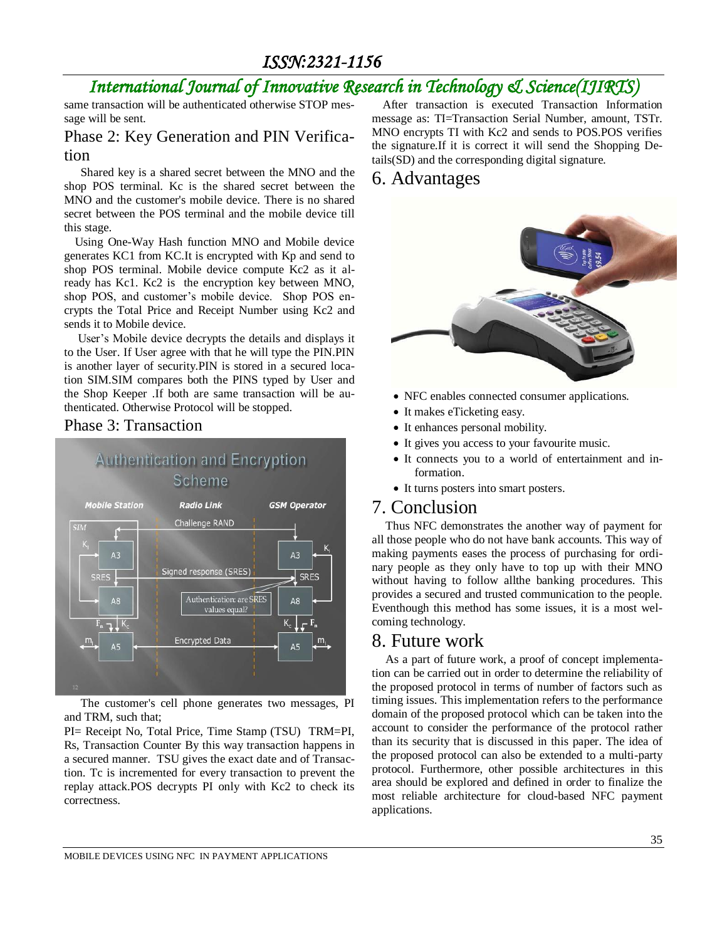*ISSN:2321-1156* 

# *International Journal of Innovative Research in Technology & Science(IJIRTS)*

same transaction will be authenticated otherwise STOP message will be sent.

#### Phase 2: Key Generation and PIN Verification

 Shared key is a shared secret between the MNO and the shop POS terminal. Kc is the shared secret between the MNO and the customer's mobile device. There is no shared secret between the POS terminal and the mobile device till this stage.

Using One-Way Hash function MNO and Mobile device generates KC1 from KC.It is encrypted with Kp and send to shop POS terminal. Mobile device compute Kc2 as it already has Kc1. Kc2 is the encryption key between MNO, shop POS, and customer's mobile device. Shop POS encrypts the Total Price and Receipt Number using Kc2 and sends it to Mobile device.

User's Mobile device decrypts the details and displays it to the User. If User agree with that he will type the PIN.PIN is another layer of security.PIN is stored in a secured location SIM.SIM compares both the PINS typed by User and the Shop Keeper .If both are same transaction will be authenticated. Otherwise Protocol will be stopped.

#### Phase 3: Transaction



 The customer's cell phone generates two messages, PI and TRM, such that;

PI= Receipt No, Total Price, Time Stamp (TSU) TRM=PI, Rs, Transaction Counter By this way transaction happens in a secured manner. TSU gives the exact date and of Transaction. Tc is incremented for every transaction to prevent the replay attack.POS decrypts PI only with Kc2 to check its correctness.

After transaction is executed Transaction Information message as: TI=Transaction Serial Number, amount, TSTr. MNO encrypts TI with Kc2 and sends to POS.POS verifies the signature.If it is correct it will send the Shopping Details(SD) and the corresponding digital signature.

### 6. Advantages



- NFC enables connected consumer applications.
- It makes eTicketing easy.
- It enhances personal mobility.
- It gives you access to your favourite music.
- It connects you to a world of entertainment and information.
- It turns posters into smart posters.

### 7. Conclusion

Thus NFC demonstrates the another way of payment for all those people who do not have bank accounts. This way of making payments eases the process of purchasing for ordinary people as they only have to top up with their MNO without having to follow allthe banking procedures. This provides a secured and trusted communication to the people. Eventhough this method has some issues, it is a most welcoming technology.

### 8. Future work

As a part of future work, a proof of concept implementation can be carried out in order to determine the reliability of the proposed protocol in terms of number of factors such as timing issues. This implementation refers to the performance domain of the proposed protocol which can be taken into the account to consider the performance of the protocol rather than its security that is discussed in this paper. The idea of the proposed protocol can also be extended to a multi-party protocol. Furthermore, other possible architectures in this area should be explored and defined in order to finalize the most reliable architecture for cloud-based NFC payment applications.